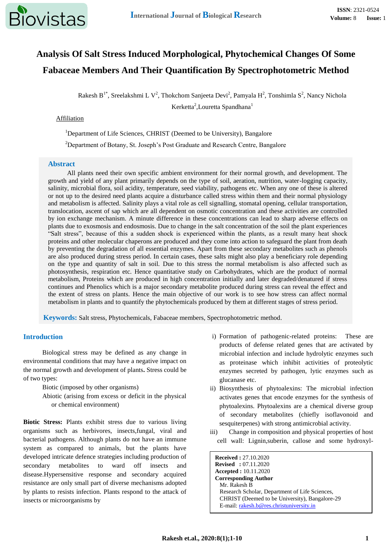# **Analysis Of Salt Stress Induced Morphological, Phytochemical Changes Of Some Fabaceae Members And Their Quantification By Spectrophotometric Method**

Rakesh B<sup>1\*</sup>, Sreelakshmi L V<sup>2</sup>, Thokchom Sanjeeta Devi<sup>2</sup>, Pamyala H<sup>2</sup>, Tonshimla S<sup>2</sup>, Nancy Nichola Kerketta<sup>2</sup>, Louretta Spandhana<sup>1</sup>

### Affiliation

<sup>1</sup>Department of Life Sciences, CHRIST (Deemed to be University), Bangalore

<sup>2</sup>Department of Botany, St. Joseph's Post Graduate and Research Centre, Bangalore

#### **Abstract**

All plants need their own specific ambient environment for their normal growth, and development. The growth and yield of any plant primarily depends on the type of soil, aeration, nutrition, water-logging capacity, salinity, microbial flora, soil acidity, temperature, seed viability, pathogens etc. When any one of these is altered or not up to the desired need plants acquire a disturbance called stress within them and their normal physiology and metabolism is affected. Salinity plays a vital role as cell signalling, stomatal opening, cellular transportation, translocation, ascent of sap which are all dependent on osmotic concentration and these activities are controlled by ion exchange mechanism. A minute difference in these concentrations can lead to sharp adverse effects on plants due to exosmosis and endosmosis. Due to change in the salt concentration of the soil the plant experiences "Salt stress", because of this a sudden shock is experienced within the plants, as a result many heat shock proteins and other molecular chaperons are produced and they come into action to safeguard the plant from death by preventing the degradation of all essential enzymes. Apart from these secondary metabolites such as phenols are also produced during stress period. In certain cases, these salts might also play a beneficiary role depending on the type and quantity of salt in soil. Due to this stress the normal metabolism is also affected such as photosynthesis, respiration etc. Hence quantitative study on Carbohydrates, which are the product of normal metabolism, Proteins which are produced in high concentration initially and later degraded/denatured if stress continues and Phenolics which is a major secondary metabolite produced during stress can reveal the effect and the extent of stress on plants. Hence the main objective of our work is to see how stress can affect normal metabolism in plants and to quantify the phytochemicals produced by them at different stages of stress period.

**Keywords:** Salt stress, Phytochemicals, Fabaceae members, Spectrophotometric method.

# **Introduction**

Biological stress may be defined as any change in environmental conditions that may have a negative impact on the normal growth and development of plants**.** Stress could be of two types:

Biotic (imposed by other organisms)

Abiotic (arising from excess or deficit in the physical or chemical environment)

**Biotic Stress:** Plants exhibit stress due to various living organisms such as herbivores, insects,fungal, viral and bacterial pathogens. Although plants do not have an immune system as compared to animals, but the plants have developed intricate defence strategies including production of secondary metabolites to ward off insects and disease.Hypersensitive response and secondary acquired resistance are only small part of diverse mechanisms adopted by plants to resists infection. Plants respond to the attack of insects or microorganisms by

- i) Formation of pathogenic-related proteins: These are products of defense related genes that are activated by microbial infection and include hydrolytic enzymes such as proteinase which inhibit activities of proteolytic enzymes secreted by pathogen, lytic enzymes such as glucanase etc.
- ii) Biosynthesis of phytoalexins: The microbial infection activates genes that encode enzymes for the synthesis of phytoalexins. Phytoalexins are a chemical diverse group of secondary metabolites (chiefly isoflavonoid and sesquiterpenes) with strong antimicrobial activity.
- iii) Change in composition and physical properties of host cell wall: Lignin,suberin, callose and some hydroxyl-

**Received :** 27.10.2020 **Revised :** 07.11.2020 **Accepted :** 10.11.2020 **Corresponding Author** Mr. Rakesh B Research Scholar, Department of Life Sciences, CHRIST (Deemed to be University), Bangalore-29 E-mail: [rakesh.b@res.christuniversity.in](mailto:rakesh.b@res.christuniversity.in)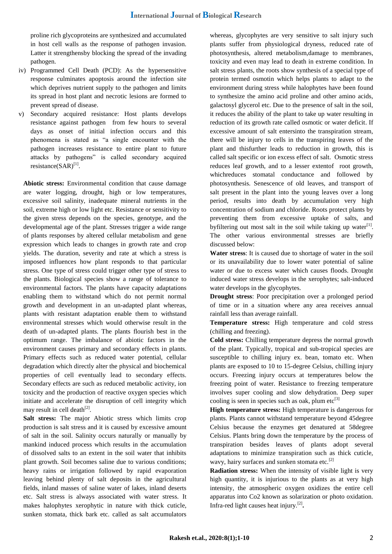proline rich glycoproteins are synthesized and accumulated in host cell walls as the response of pathogen invasion. Latter it strengthensby blocking the spread of the invading pathogen.

- iv) Programmed Cell Death (PCD): As the hypersensitive response culminates apoptosis around the infection site which deprives nutrient supply to the pathogen and limits its spread in host plant and necrotic lesions are formed to prevent spread of disease.
- v) Secondary acquired resistance: Host plants develops resistance against pathogen from few hours to several days as onset of initial infection occurs and this phenomena is stated as "a single encounter with the pathogen increases resistance to entire plant to future attacks by pathogens" is called secondary acquired resistance(SAR)<sup>[1]</sup>.

**Abiotic stress:** Environmental condition that cause damage are water logging, drought, high or low temperatures, excessive soil salinity, inadequate mineral nutrients in the soil, extreme high or low light etc. Resistance or sensitivity to the given stress depends on the species, genotype, and the developmental age of the plant. Stresses trigger a wide range of plants responses by altered cellular metabolism and gene expression which leads to changes in growth rate and crop yields. The duration, severity and rate at which a stress is imposed influences how plant responds to that particular stress. One type of stress could trigger other type of stress to the plants. Biological species show a range of tolerance to environmental factors. The plants have capacity adaptations enabling them to withstand which do not permit normal growth and development in an un-adapted plant whereas, plants with resistant adaptation enable them to withstand environmental stresses which would otherwise result in the death of un-adapted plants. The plants flourish best in the optimum range. The imbalance of abiotic factors in the environment causes primary and secondary effects in plants. Primary effects such as reduced water potential, cellular degradation which directly alter the physical and biochemical properties of cell eventually lead to secondary effects. Secondary effects are such as reduced metabolic activity, ion toxicity and the production of reactive oxygen species which initiate and accelerate the disruption of cell integrity which may result in cell death<sup>[2]</sup>.

**Salt stress:** The major Abiotic stress which limits crop production is salt stress and it is caused by excessive amount of salt in the soil. Salinity occurs naturally or manually by mankind induced process which results in the accumulation of dissolved salts to an extent in the soil water that inhibits plant growth. Soil becomes saline due to various conditions; heavy rains or irrigation followed by rapid evaporation leaving behind plenty of salt deposits in the agricultural fields, inland masses of saline water of lakes, inland deserts etc. Salt stress is always associated with water stress. It makes halophytes xerophytic in nature with thick cuticle, sunken stomata, thick bark etc. called as salt accumulators whereas, glycophytes are very sensitive to salt injury such plants suffer from physiological dryness, reduced rate of photosynthesis, altered metabolism,damage to membranes, toxicity and even may lead to death in extreme condition. In salt stress plants, the roots show synthesis of a special type of protein termed osmotin which helps plants to adapt to the environment during stress while halophytes have been found to synthesize the amino acid proline and other amino acids, galactosyl glycerol etc. Due to the presence of salt in the soil, it reduces the ability of the plant to take up water resulting in reduction of its growth rate called osmotic or water deficit. If excessive amount of salt entersinto the transpiration stream, there will be injury to cells in the transpiring leaves of the plant and thisfurther leads to reduction in growth, this is called salt specific or ion excess effect of salt. Osmotic stress reduces leaf growth, and to a lesser extentof root growth, whichreduces stomatal conductance and followed by photosynthesis. Senescence of old leaves, and transport of salt present in the plant into the young leaves over a long period, results into death by accumulation very high concentration of sodium and chloride. Roots protect plants by preventing them from excessive uptake of salts, and by filtering out most salt in the soil while taking up water $^{[1]}$ . The other various environmental stresses are briefly discussed below:

**Water stress**: It is caused due to shortage of water in the soil or its unavailability due to lower water potential of saline water or due to excess water which causes floods. Drought induced water stress develops in the xerophytes; salt-induced water develops in the glycophytes.

**Drought stress**: Poor precipitation over a prolonged period of time or in a situation where any area receives annual rainfall less than average rainfall.

**Temperature stress:** High temperature and cold stress (chilling and freezing).

**Cold stress:** Chilling temperature depress the normal growth of the plant. Typically, tropical and sub-tropical species are susceptible to chilling injury ex. bean, tomato etc. When plants are exposed to 10 to 15-degree Celsius, chilling injury occurs. Freezing injury occurs at temperatures below the freezing point of water. Resistance to freezing temperature involves super cooling and slow dehydration. Deep super cooling is seen in species such as oak, plum  $etc^{[3]}$ 

**High temperature stress:** High temperature is dangerous for plants. Plants cannot withstand temperature beyond 45degree Celsius because the enzymes get denatured at 58degree Celsius. Plants bring down the temperature by the process of transpiration besides leaves of plants adopt several adaptations to minimize transpiration such as thick cuticle, wavy, hairy surfaces and sunken stomata etc.<sup>[2]</sup>

**Radiation stress:** When the intensity of visible light is very high quantity, it is injurious to the plants as at very high intensity, the atmospheric oxygen oxidizes the entire cell apparatus into Co2 known as solarization or photo oxidation. Infra-red light causes heat injury.[2] **.**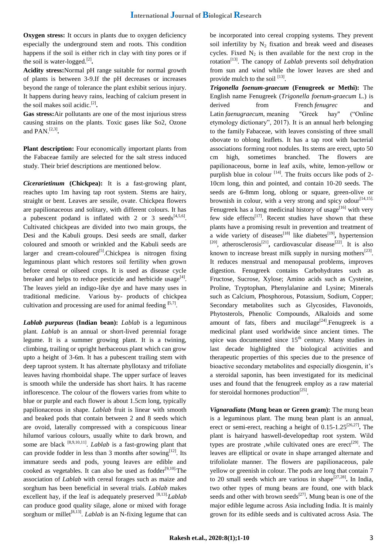**Oxygen stress:** It occurs in plants due to oxygen deficiency especially the underground stem and roots. This condition happens if the soil is either rich in clay with tiny pores or if the soil is water-logged.<sup>[2]</sup>.

**Acidity stress:**Normal pH range suitable for normal growth of plants is between 3-9.If the pH decreases or increases beyond the range of tolerance the plant exhibit serious injury. It happens during heavy rains, leaching of calcium present in the soil makes soil acidic.[2] **.**

**Gas stress:**Air pollutants are one of the most injurious stress causing strains on the plants. Toxic gases like So2, Ozone and PAN.[2,3] **.**

**Plant description:** Four economically important plants from the Fabaceae family are selected for the salt stress induced study. Their brief descriptions are mentioned below.

*Cicerarietinum* **(Chickpea):** It is a fast-growing plant, reaches upto 1m having tap root system. Stems are hairy, straight or bent. Leaves are sessile, ovate. Chickpea flowers are papilionaceous and solitary, with different colours. It has a pubescent podand is inflated with 2 or 3 seeds  $[4,5,6]$ . Cultivated chickpeas are divided into two main groups, the Desi and the Kabuli groups. Desi seeds are small, darker coloured and smooth or wrinkled and the Kabuli seeds are larger and cream-coloured<sup>[5]</sup>.Chickpea is nitrogen fixing leguminous plant which restores soil fertility when grown before cereal or oilseed crops. It is used as disease cycle breaker and helps to reduce pesticide and herbicide usage<sup>[4]</sup>. The leaves yield an indigo-like dye and have many uses in traditional medicine. Various by- products of chickpea cultivation and processing are used for animal feeding **[**5,7] .

*Lablab purpureus* **(Indian bean):** *Lablab* is a leguminous plant*. Lablab* is an annual or short-lived perennial forage legume. It is a summer growing plant. It is a twining, climbing, trailing or upright herbaceous plant which can grow upto a height of 3-6m. It has a pubescent trailing stem with deep taproot system. It has alternate phyllotaxy and trifoliate leaves having rhomboidal shape. The upper surface of leaves is smooth while the underside has short hairs. It has raceme inflorescence. The colour of the flowers varies from white to blue or purple and each flower is about 1.5cm long, typically papilionaceous in shape. *Lablab* fruit is linear with smooth and beaked pods that contain between 2 and 8 seeds which are ovoid, laterally compressed with a conspicuous linear hilumof various colours, usually white to dark brown, and some are black <sup>[8,9,10,11]</sup>. *Lablab* is a fast-growing plant that can provide fodder in less than 3 months after sowing<sup>[12]</sup>. Its immature seeds and pods, young leaves are edible and cooked as vegetables. It can also be used as  $f(x|10)$ . The association of *Lablab* with cereal forages such as maize and sorghum has been beneficial in several trials. *Lablab* makes excellent hay, if the leaf is adequately preserved <sup>[8,13]</sup>*Lablab* can produce good quality silage, alone or mixed with forage sorghum or millet<sup>[8,13]</sup>. *Lablab* is an N-fixing legume that can be incorporated into cereal cropping systems. They prevent soil infertility by  $N_2$  fixation and break weed and diseases cycles. Fixed  $N_2$  is then available for the next crop in the rotation<sup>[13]</sup>. The canopy of *Lablab* prevents soil dehydration from sun and wind while the lower leaves are shed and provide mulch to the soil  $^{[13]}$ .

*Trigonella foenum-graecum* **(Fenugreek or Methi):** The English name Fenugreek (*Trigonella foenum-graecum* L.) is derived from French *fenugrec* and [Latin](https://en.wikipedia.org/wiki/Latin) *faenugraecum*, meaning "Greek hay" ("Online etymology dictionary", 2017). It is an annual herb belonging to the family [Fabaceae,](https://en.wikipedia.org/wiki/Fabaceae) with leaves consisting of three small obovate to oblong leaflets. It has a tap root with bacterial associations forming root nodules. Its stems are erect, upto 50 cm high, sometimes branched. The flowers are papilionaceous, borne in leaf axils, white, lemon-yellow or purplish blue in colour  $[14]$ . The fruits occurs like pods of 2-10cm long, thin and pointed, and contain 10-20 seeds. The seeds are 6-8mm long, oblong or square, green-olive or brownish in colour, with a very strong and spicy odour $[14,15]$ . Fenugreek has a long medicinal history of usage<sup>[16]</sup> with very few side effects<sup>[17]</sup>. Recent studies have shown that these plants have a promising result in prevention and treatment of a wide variety of diseases<sup>[18]</sup> like diabetes<sup>[19]</sup>, hypertension  $[20]$ , atherosclerosis<sup>[21]</sup>, cardiovascular disease<sup>[22]</sup>. It is also known to increase breast milk supply in nursing mothers $^{[23]}$ . It reduces menstrual and menopausal problems, improves digestion. Fenugreek contains Carbohydrates such as Fructose, Sucrose, Xylose; Amino acids such as Cysteine, Proline, Tryptophan, Phenylalanine and Lysine; Minerals such as Calcium, Phosphorous, Potassium, Sodium, Copper; Secondary metabolites such as Glycosides, Flavonoids, Phytosterols, Phenolic Compounds, Alkaloids and some amount of fats, fibers and mucilage<sup>[24]</sup>. Fenugreek is a medicinal plant used worldwide since ancient times. The spice was documented since  $15<sup>th</sup>$  century. Many studies in last decade highlighted the biological activities and therapeutic properties of this species due to the presence of bioactive secondary metabolites and especially diosgenin, it's a steroidal saponin, has been investigated for its medicinal uses and found that the fenugreek employ as a raw material for steroidal hormones production<sup>[25]</sup>.

*Vignaradiata* **(Mung bean or Green gram):** The mung bean is a leguminous plant. The mung bean plant is an annual, erect or semi-erect, reaching a height of 0.15-1.25<sup>[26,27]</sup>. The plant is hairyand haswell-developedtap root system. Wild types are prostrate ,while cultivated ones are erect<sup>[29]</sup>. The leaves are elliptical or ovate in shape arranged alternate and trifoliolate manner. The flowers are papilionaceous, pale yellow or greenish in colour. The pods are long that contain 7 to 20 small seeds which are various in shape[27,28] **.** In India, two other types of mung beans are found, one with black seeds and other with brown seeds<sup>[27]</sup>. Mung bean is one of the major edible legume across Asia including India. It is mainly grown for its edible seeds and is cultivated across Asia. The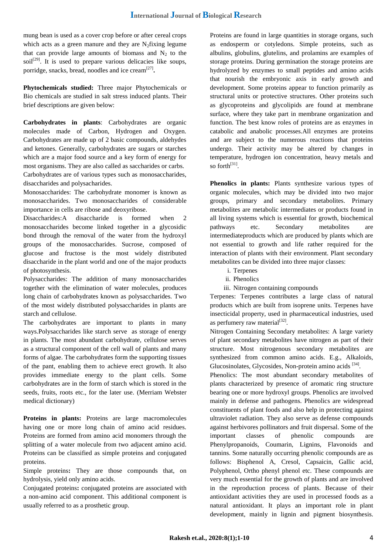mung bean is used as a cover crop before or after cereal crops which acts as a green manure and they are  $N_2$  fixing legume that can provide large amounts of biomass and  $N_2$  to the  $soil<sup>[29]</sup>$ . It is used to prepare various delicacies like soups, porridge, snacks, bread, noodles and ice cream<sup>[27]</sup>.

**Phytochemicals studied:** Three major Phytochemicals or Bio chemicals are studied in salt stress induced plants. Their brief descriptions are given below:

**Carbohydrates in plants**: Carbohydrates are organic molecules made of Carbon, Hydrogen and Oxygen. Carbohydrates are made up of 2 basic compounds, aldehydes and ketones. Generally, carbohydrates are sugars or starches which are a major food source and a key form of energy for most organisms. They are also called as saccharides or carbs. Carbohydrates are of various types such as monosaccharides, disaccharides and polysacharides.

Monosaccharides: The carbohydrate monomer is known as monosaccharides. Two monosaccharides of considerable importance in cells are ribose and deoxyribose.

Disaccharides:A disaccharide is formed when 2 monosaccharides become linked together in a glycosidic bond through the removal of the water from the hydroxyl groups of the monosaccharides. Sucrose, composed of glucose and fructose is the most widely distributed disaccharide in the plant world and one of the major products of photosynthesis.

Polysaccharides: The addition of many monosaccharides together with the elimination of water molecules, produces long chain of carbohydrates known as polysaccharides. Two of the most widely distributed polysaccharides in plants are starch and cellulose.

The carbohydrates are important to plants in many ways.Polysaccharides like starch serve as storage of energy in plants. The most abundant carbohydrate, [cellulose](https://en.wikipedia.org/wiki/Cellulose) serves as a structural component of the [cell wall](https://en.wikipedia.org/wiki/Cell_wall#plant_cell_walls) of plants and many forms of algae. The carbohydrates form the supporting tissues of the pant, enabling them to achieve erect growth. It also provides immediate energy to the plant cells. Some carbohydrates are in the form of starch which is stored in the seeds, fruits, roots etc., for the later use. (Merriam Webster medical dictionary)

**Proteins in plants:** Proteins are large macromolecules having one or more long chain of amino acid residues. Proteins are formed from amino acid monomers through the splitting of a water molecule from two adjacent amino acid. Proteins can be classified as simple proteins and conjugated proteins.

Simple proteins**:** They are those compounds that, on hydrolysis, yield only amino acids.

Conjugated proteins**:** conjugated proteins are associated with a non-amino acid component. This additional component is usually referred to as a prosthetic group.

Proteins are found in large quantities in storage organs, such as endosperm or cotyledons. Simple proteins, such as albulins, globulins, glutelins, and prolamins are examples of storage proteins. During germination the storage proteins are hydrolyzed by enzymes to small peptides and amino acids that nourish the embryonic axis in early growth and development. Some proteins appear to function primarily as structural units or protective structures. Other proteins such as glycoproteins and glycolipids are found at membrane surface, where they take part in membrane organization and function. The best know roles of proteins are as enzymes in catabolic and anabolic processes.All enzymes are proteins and are subject to the numerous reactions that proteins undergo. Their activity may be altered by changes in temperature, hydrogen ion concentration, heavy metals and so forth<sup>[31]</sup>.

**Phenolics in plants:** Plants synthesize various types of organic molecules, which may be divided into two major groups, primary and secondary metabolites. Primary metabolites are metabolic intermediates or products found in all living systems which is essential for growth, biochemical pathways etc. Secondary metabolites are intermediateproducts which are produced by plants which are not essential to growth and life rather required for the interaction of plants with their environment. Plant secondary metabolites can be divided into three major classes:

- i. Terpenes
- ii. Phenolics
- iii. Nitrogen containing compounds

Terpenes: Terpenes contributes a large class of natural products which are built from isoprene units. Terpenes have insecticidal property, used in pharmaceutical industries, used as perfumery raw material<sup>[32]</sup>.

Nitrogen Containing Secondary metabolites: A large variety of plant secondary metabolites have nitrogen as part of their structure. Most nitrogenous secondary metabolites are synthesized from common amino acids. E.g., Alkaloids, Glucosinolates, Glycosides, Non-protein amino acids [34].

Phenolics: The most abundant secondary metabolites of plants characterized by presence of aromatic ring structure bearing one or more hydroxyl groups. Phenolics are involved mainly in defense and pathogens. Phenolics are widespread constituents of plant foods and also help in protecting against ultraviolet radiation. They also serve as defense compounds against herbivores pollinators and fruit dispersal. Some of the important classes of phenolic compounds are Phenylpropanoids, Coumarin, Lignins, Flavonoids and tannins. Some naturally occurring phenolic compounds are as follows: Bisphenol A, Cresol, Capsaicin, Gallic acid, Polyphenol, Ortho phenyl phenol etc. These compounds are very much essential for the growth of plants and are involved in the reproduction process of plants. Because of their antioxidant activities they are used in processed foods as a natural antioxidant. It plays an important role in plant development, mainly in lignin and pigment biosynthesis.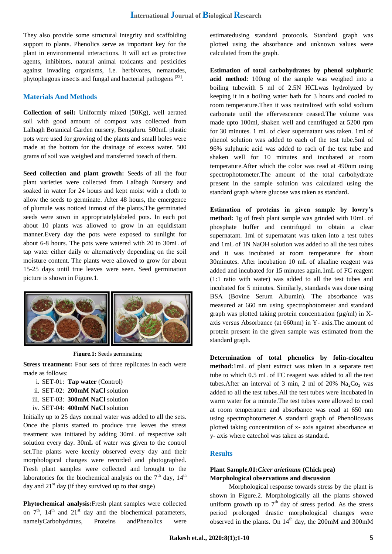They also provide some structural integrity and scaffolding support to plants. Phenolics serve as important key for the plant in environmental interactions. It will act as protective agents, inhibitors, natural animal toxicants and pesticides against invading organisms, i.e. herbivores, nematodes, phytophagous insects and fungal and bacterial pathogens [33].

## **Materials And Methods**

**Collection of soil:** Uniformly mixed (50Kg), well aerated soil with good amount of compost was collected from Lalbagh Botanical Garden nursery, Bengaluru. 500mL plastic pots were used for growing of the plants and small holes were made at the bottom for the drainage of excess water. 500 grams of soil was weighed and transferred toeach of them.

**Seed collection and plant growth:** Seeds of all the four plant varieties were collected from Lalbagh Nursery and soaked in water for 24 hours and kept moist with a cloth to allow the seeds to germinate. After 48 hours, the emergence of plumule was noticed inmost of the plants.The germinated seeds were sown in appropriatelylabeled pots. In each pot about 10 plants was allowed to grow in an equidistant manner.Every day the pots were exposed to sunlight for about 6-8 hours. The pots were watered with 20 to 30mL of tap water either daily or alternatively depending on the soil moisture content. The plants were allowed to grow for about 15-25 days until true leaves were seen. Seed germination picture is shown in Figure.1.



**Figure.1:** Seeds germinating

**Stress treatment:** Four sets of three replicates in each were made as follows:

- i. SET-01: **Tap water** (Control)
- ii. SET-02: **200mM NaCl** solution
- iii. SET-03: **300mM NaCl** solution
- iv. SET-04: **400mM NaCl** solution

Initially up to 25 days normal water was added to all the sets. Once the plants started to produce true leaves the stress treatment was initiated by adding 30mL of respective salt solution every day. 30mL of water was given to the control set.The plants were keenly observed every day and their morphological changes were recorded and photographed. Fresh plant samples were collected and brought to the laboratories for the biochemical analysis on the  $7<sup>th</sup>$  day,  $14<sup>th</sup>$ day and  $21<sup>st</sup>$  day (if they survived up to that stage)

**Phytochemical analysis:**Fresh plant samples were collected on  $7<sup>th</sup>$ ,  $14<sup>th</sup>$  and  $21<sup>st</sup>$  day and the biochemical parameters, namelyCarbohydrates, Proteins andPhenolics were estimatedusing standard protocols. Standard graph was plotted using the absorbance and unknown values were calculated from the graph.

**Estimation of total carbohydrates by phenol sulphuric acid method**: 100mg of the sample was weighed into a boiling tubewith 5 ml of 2.5N HCLwas hydrolyzed by keeping it in a boiling water bath for 3 hours and cooled to room temperature.Then it was neutralized with solid sodium carbonate until the effervescence ceased.The volume was made upto 100ml, shaken well and centrifuged at 5200 rpm for 30 minutes. 1 mL of clear supernatant was taken. 1ml of phenol solution was added to each of the test tube.5ml of 96% sulphuric acid was added to each of the test tube and shaken well for 10 minutes and incubated at room temperature.After which the color was read at 490nm using spectrophotometer.The amount of the total carbohydrate present in the sample solution was calculated using the standard graph where glucose was taken as standard**.**

**Estimation of proteins in given sample by lowry's method:** 1g of fresh plant sample was grinded with 10mL of phosphate buffer and centrifuged to obtain a clear supernatant. 1ml of supernatant was taken into a test tubes and 1mL of 1N NaOH solution was added to all the test tubes and it was incubated at room temperature for about 30minutes. After incubation 10 mL of alkaline reagent was added and incubated for 15 minutes again.1mL of FC reagent (1:1 ratio with water) was added to all the test tubes and incubated for 5 minutes. Similarly, standards was done using BSA (Bovine Serum Albumin). The absorbance was measured at 660 nm using spectrophotometer and standard graph was plotted taking protein concentration ( $\mu$ g/ml) in Xaxis versus Absorbance (at 660nm) in Y- axis.The amount of protein present in the given sample was estimated from the standard graph.

**Determination of total phenolics by folin-ciocalteu method:**1mL of plant extract was taken in a separate test tube to which 0.5 mL of FC reagent was added to all the test tubes. After an interval of 3 min, 2 ml of 20%  $Na<sub>2</sub>Co<sub>3</sub>$  was added to all the test tubes.All the test tubes were incubated in warm water for a minute.The test tubes were allowed to cool at room temperature and absorbance was read at 650 nm using spectrophotometer.A standard graph of Phenolicswas plotted taking concentration of x- axis against absorbance at y- axis where catechol was taken as standard.

# **Results**

## **Plant Sample.01:***Cicer arietinum* **(Chick pea) Morphological observations and discussion**

Morphological response towards stress by the plant is shown in Figure.2. Morphologically all the plants showed uniform growth up to  $7<sup>th</sup>$  day of stress period. As the stress period prolonged drastic morphological changes were observed in the plants. On  $14<sup>th</sup>$  day, the 200mM and 300mM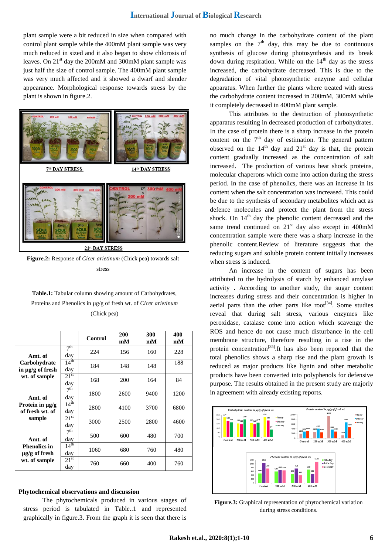plant sample were a bit reduced in size when compared with control plant sample while the 400mM plant sample was very much reduced in sized and it also began to show chlorosis of leaves. On 21<sup>st</sup> day the 200mM and 300mM plant sample was just half the size of control sample. The 400mM plant sample was very much affected and it showed a dwarf and slender appearance. Morphological response towards stress by the plant is shown in figure.2.



**Figure.2:** Response of *Cicer arietinum* (Chick pea) towards salt stress

**Table.1:** Tabular column showing amount of Carbohydrates, Proteins and Phenolics in µg/g of fresh wt. of *Cicer arietinum*  (Chick pea)

|                                           |                         | Control | 200<br>mM | 300<br>mM | 400<br>mM |
|-------------------------------------------|-------------------------|---------|-----------|-----------|-----------|
| Amt. of                                   | 7 <sup>th</sup><br>day  | 224     | 156       | 160       | 228       |
| Carbohydrate<br>in $\mu$ g/g of fresh     | $14^{\text{th}}$<br>day | 184     | 148       | 148       | 188       |
| wt. of sample                             | $21^{st}$<br>day        | 168     | 200       | 164       | 84        |
| Amt. of                                   | 7 <sup>th</sup><br>day  | 1800    | 2600      | 9400      | 1200      |
| Protein in $\mu$ g/g<br>of fresh wt. of   | $14^{\text{th}}$<br>day | 2800    | 4100      | 3700      | 6800      |
| sample                                    | 21 <sup>st</sup><br>day | 3000    | 2500      | 2800      | 4600      |
| Amt. of                                   | 7 <sup>th</sup><br>day  | 500     | 600       | 480       | 700       |
| <b>Phenolics in</b><br>$\mu$ g/g of fresh | $14^{\text{th}}$<br>day | 1060    | 680       | 760       | 480       |
| wt. of sample                             | $21^{st}$<br>day        | 760     | 660       | 400       | 760       |

#### **Phytochemical observations and discussion**

The phytochemicals produced in various stages of stress period is tabulated in Table..1 and represented graphically in figure.3. From the graph it is seen that there is no much change in the carbohydrate content of the plant samples on the  $7<sup>th</sup>$  day, this may be due to continuous synthesis of glucose during photosynthesis and its break down during respiration. While on the  $14<sup>th</sup>$  day as the stress increased, the carbohydrate decreased. This is due to the degradation of vital photosynthetic enzyme and cellular apparatus. When further the plants where treated with stress the carbohydrate content increased in 200mM, 300mM while it completely decreased in 400mM plant sample.

This attributes to the destruction of photosynthetic apparatus resulting in decreased production of carbohydrates. In the case of protein there is a sharp increase in the protein content on the  $7<sup>th</sup>$  day of estimation. The general pattern observed on the  $14<sup>th</sup>$  day and  $21<sup>st</sup>$  day is that, the protein content gradually increased as the concentration of salt increased. The production of various heat shock proteins, molecular chaperons which come into action during the stress period. In the case of phenolics, there was an increase in its content when the salt concentration was increased. This could be due to the synthesis of secondary metabolites which act as defence molecules and protect the plant from the stress shock. On  $14<sup>th</sup>$  day the phenolic content decreased and the same trend continued on  $21<sup>st</sup>$  day also except in 400mM concentration sample were there was a sharp increase in the phenolic content.Review of literature suggests that the reducing sugars and soluble protein content initially increases when stress is induced.

An increase in the content of sugars has been attributed to the hydrolysis of starch by enhanced amylase activity **.** According to another study, the sugar content increases during stress and their concentration is higher in aerial parts than the other parts like root<sup>[34]</sup>. Some studies reveal that during salt stress, various enzymes like peroxidase, catalase come into action which scavenge the ROS and hence do not cause much disturbance in the cell membrane structure, therefore resulting in a rise in the protein concentration<sup>[35]</sup>.It has also been reported that the total phenolics shows a sharp rise and the plant growth is reduced as major products like lignin and other metabolic products have been converted into polyphenols for defensive purpose. The results obtained in the present study are majorly in agreement with already existing reports.



**Figure.3:** Graphical representation of phytochemical variation during stress conditions.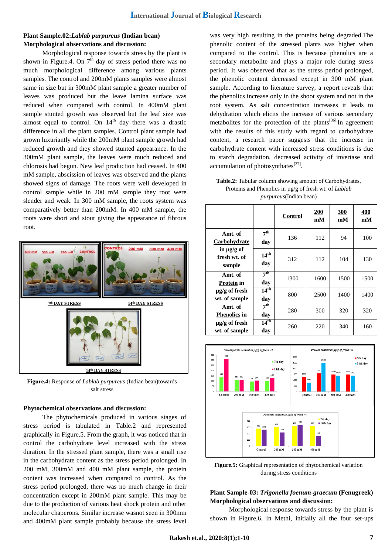## **Plant Sample.02:***Lablab purpureus* **(Indian bean) Morphological observations and discussion:**

Morphological response towards stress by the plant is shown in Figure.4. On  $7<sup>th</sup>$  day of stress period there was no much morphological difference among various plants samples. The control and 200mM plants samples were almost same in size but in 300mM plant sample a greater number of leaves was produced but the leave lamina surface was reduced when compared with control. In 400mM plant sample stunted growth was observed but the leaf size was almost equal to control. On  $14<sup>th</sup>$  day there was a drastic difference in all the plant samples. Control plant sample had grown luxuriantly while the 200mM plant sample growth had reduced growth and they showed stunted appearance. In the 300mM plant sample, the leaves were much reduced and chlorosis had begun. New leaf production had ceased. In 400 mM sample, abscission of leaves was observed and the plants showed signs of damage. The roots were well developed in control sample while in 200 mM sample they root were slender and weak. In 300 mM sample, the roots system was comparatively better than 200mM. In 400 mM sample, the roots were short and stout giving the appearance of fibrous root.



**Figure.4:** Response of *Lablab purpureus* (Indian bean)towards salt stress

#### **Phytochemical observations and discussion:**

The phytochemicals produced in various stages of stress period is tabulated in Table.2 and represented graphically in Figure.5. From the graph, it was noticed that in control the carbohydrate level increased with the stress duration. In the stressed plant sample, there was a small rise in the carbohydrate content as the stress period prolonged. In 200 mM, 300mM and 400 mM plant sample, the protein content was increased when compared to control. As the stress period prolonged, there was no much change in their concentration except in 200mM plant sample. This may be due to the production of various heat shock protein and other molecular chaperons. Similar increase wasnot seen in 300mm and 400mM plant sample probably because the stress level was very high resulting in the proteins being degraded.The phenolic content of the stressed plants was higher when compared to the control. This is because phenolics are a secondary metabolite and plays a major role during stress period. It was observed that as the stress period prolonged, the phenolic content decreased except in 300 mM plant sample. According to literature survey, a report reveals that the phenolics increase only in the shoot system and not in the root system. As salt concentration increases it leads to dehydration which elicits the increase of various secondary metabolites for the protection of the plants<sup>[36].</sup>In agreement with the results of this study with regard to carbohydrate content, a research paper suggests that the increase in carbohydrate content with increased stress conditions is due to starch degradation, decreased activity of invertase and accumulation of photosynthates<sup>[37]</sup>.

| <b>Table.2:</b> Tabular column showing amount of Carbohydrates, |
|-----------------------------------------------------------------|
| Proteins and Phenolics in µg/g of fresh wt. of <i>Lablab</i>    |
| <i>purpureus</i> (Indian bean)                                  |

|                                                                      |                                    | Control | 200<br>mM | 300<br>mM | 400<br>mM |
|----------------------------------------------------------------------|------------------------------------|---------|-----------|-----------|-----------|
| Amt. of<br>Carbohydrate<br>in $\mu$ g/g of<br>fresh wt. of<br>sample | 7 <sup>th</sup><br>day             | 136     | 112       | 94        | 100       |
|                                                                      | 14 <sup>th</sup><br>day            | 312     | 112       | 104       | 130       |
| Amt. of<br>Protein in                                                | 7 <sup>th</sup><br>day             | 1300    | 1600      | 1500      | 1500      |
| $\mu$ g/g of fresh<br>wt. of sample                                  | $14^{\overline{\text{th}}}$<br>day | 800     | 2500      | 1400      | 1400      |
| Amt. of<br><b>Phenolics in</b>                                       | 7 <sup>th</sup><br>day             | 280     | 300       | 320       | 320       |
| µg/g of fresh<br>wt. of sample                                       | $14^{th}$<br>day                   | 260     | 220       | 340       | 160       |



**Figure.5:** Graphical representation of phytochemical variation during stress conditions

# **Plant Sample-03:** *Trigonella foenum-graecum* **(Fenugreek) Morphological observations and discussion:**

Morphological response towards stress by the plant is shown in Figure.6. In Methi, initially all the four set-ups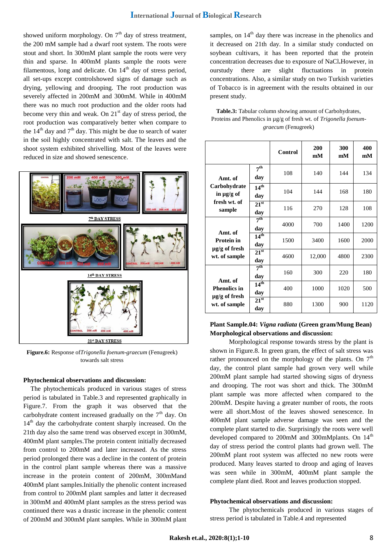showed uniform morphology. On  $7<sup>th</sup>$  day of stress treatment, the 200 mM sample had a dwarf root system. The roots were stout and short. In 300mM plant sample the roots were very thin and sparse. In 400mM plants sample the roots were filamentous, long and delicate. On  $14<sup>th</sup>$  day of stress period, all set-ups except controlshowed signs of damage such as drying, yellowing and drooping. The root production was severely affected in 200mM and 300mM. While in 400mM there was no much root production and the older roots had become very thin and weak. On  $21<sup>st</sup>$  day of stress period, the root production was comparatively better when compare to the  $14<sup>th</sup>$  day and  $7<sup>th</sup>$  day. This might be due to search of water in the soil highly concentrated with salt. The leaves and the shoot system exhibited shrivelling. Most of the leaves were reduced in size and showed senescence.



**Figure.6:** Response of*Trigonella foenum-graecum* (Fenugreek) towards salt stress

#### **Phytochemical observations and discussion:**

The phytochemicals produced in various stages of stress period is tabulated in Table.3 and represented graphically in Figure.7. From the graph it was observed that the carbohydrate content increased gradually on the  $7<sup>th</sup>$  day. On 14<sup>th</sup> day the carbohydrate content sharply increased. On the 21th day also the same trend was observed except in 300mM, 400mM plant samples.The protein content initially decreased from control to 200mM and later increased. As the stress period prolonged there was a decline in the content of protein in the control plant sample whereas there was a massive increase in the protein content of 200mM, 300mMand 400mM plant samples.Initially the phenolic content increased from control to 200mM plant samples and latter it decreased in 300mM and 400mM plant samples as the stress period was continued there was a drastic increase in the phenolic content of 200mM and 300mM plant samples. While in 300mM plant

samples, on  $14<sup>th</sup>$  day there was increase in the phenolics and it decreased on 21th day. In a similar study conducted on soybean cultivars, it has been reported that the protein concentration decreases due to exposure of NaCl**.**However, in ourstudy there are slight fluctuations in protein concentrations. Also, a similar study on two Turkish varieties of Tobacco is in agreement with the results obtained in our present study.

**Table.3:** Tabular column showing amount of Carbohydrates, Proteins and Phenolics in µg/g of fresh wt. of *Trigonella foenumgraecum* (Fenugreek)

|                                                                       |                             | <b>Control</b> | 200<br>mM | 300<br>mM | 400<br>mM |
|-----------------------------------------------------------------------|-----------------------------|----------------|-----------|-----------|-----------|
| Amt. of<br>Carbohydrate<br>in $\mu$ g/g of<br>fresh wt. of<br>sample  | 7 <sup>th</sup><br>day      | 108            | 140       | 144       | 134       |
|                                                                       | 14 <sup>th</sup><br>day     | 104            | 144       | 168       | 180       |
|                                                                       | 21 <sup>st</sup><br>day     | 116            | 270       | 128       | 108       |
| Amt. of<br><b>Protein in</b><br>$\mu$ g/g of fresh<br>wt. of sample   | 7 <sup>th</sup><br>day      | 4000           | 700       | 1400      | 1200      |
|                                                                       | 14 <sup>th</sup><br>day     | 1500           | 3400      | 1600      | 2000      |
|                                                                       | $21^{st}$<br>day            | 4600           | 12,000    | 4800      | 2300      |
| Amt. of<br><b>Phenolics in</b><br>$\mu$ g/g of fresh<br>wt. of sample | 7 <sup>th</sup><br>day      | 160            | 300       | 220       | 180       |
|                                                                       | 14 <sup>th</sup><br>day     | 400            | 1000      | 1020      | 500       |
|                                                                       | $21^{\overline{st}}$<br>day | 880            | 1300      | 900       | 1120      |

# **Plant Sample.04:** *Vigna radiata* **(Green gram/Mung Bean) Morphological observations and discussion:**

Morphological response towards stress by the plant is shown in Figure.8. In green gram, the effect of salt stress was rather pronounced on the morphology of the plants. On  $7<sup>th</sup>$ day, the control plant sample had grown very well while 200mM plant sample had started showing signs of dryness and drooping. The root was short and thick. The 300mM plant sample was more affected when compared to the 200mM. Despite having a greater number of roots, the roots were all short.Most of the leaves showed senescence. In 400mM plant sample adverse damage was seen and the complete plant started to die. Surprisingly the roots were well developed compared to  $200 \text{m}$  and  $300 \text{m}$  Mplants. On  $14^{\text{th}}$ day of stress period the control plants had grown well. The 200mM plant root system was affected no new roots were produced. Many leaves started to droop and aging of leaves was seen while in 300mM, 400mM plant sample the complete plant died. Root and leaves production stopped.

#### **Phytochemical observations and discussion:**

The phytochemicals produced in various stages of stress period is tabulated in Table.4 and represented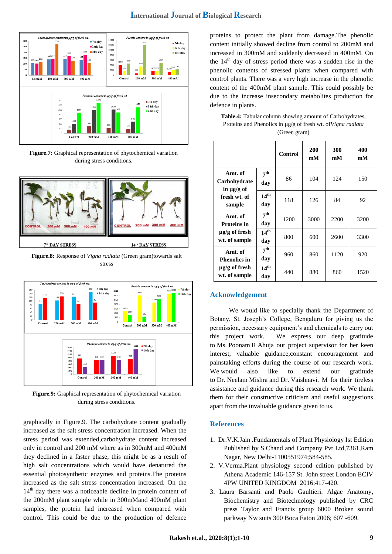

**Figure.7:** Graphical representation of phytochemical variation during stress conditions.



**Figure.8:** Response of *Vigna radiata* (Green gram)towards salt stress



**Figure.9:** Graphical representation of phytochemical variation during stress conditions.

graphically in Figure.9. The carbohydrate content gradually increased as the salt stress concentration increased. When the stress period was extended,carbohydrate content increased only in control and 200 mM where as in 300mM and 400mM they declined in a faster phase, this might be as a result of high salt concentrations which would have denatured the essential photosynthetic enzymes and proteins.The proteins increased as the salt stress concentration increased. On the 14<sup>th</sup> day there was a noticeable decline in protein content of the 200mM plant sample while in 300mMand 400mM plant samples, the protein had increased when compared with control. This could be due to the production of defence

proteins to protect the plant from damage.The phenolic content initially showed decline from control to 200mM and increased in 300mM and suddenly decreased in 400mM. On the  $14<sup>th</sup>$  day of stress period there was a sudden rise in the phenolic contents of stressed plants when compared with control plants. There was a very high increase in the phenolic content of the 400mM plant sample. This could possibly be due to the increase insecondary metabolites production for defence in plants.

**Table.4:** Tabular column showing amount of Carbohydrates, Proteins and Phenolics in µg/g of fresh wt. of*Vigna radiata*  (Green gram)

|                                                                       |                         | Control | <b>200</b><br>mM | 300<br>mM | 400<br>mM |
|-----------------------------------------------------------------------|-------------------------|---------|------------------|-----------|-----------|
| Amt. of<br>Carbohydrate<br>in $\mu$ g/g of<br>fresh wt. of<br>sample  | 7 <sup>th</sup><br>day  | 86      | 104              | 124       | 150       |
|                                                                       | 14 <sup>th</sup><br>day | 118     | 126              | 84        | 92        |
| Amt. of<br><b>Proteins in</b><br>$\mu$ g/g of fresh<br>wt. of sample  | 7 <sup>th</sup><br>day  | 1200    | 3000             | 2200      | 3200      |
|                                                                       | 14 <sup>th</sup><br>day | 800     | 600              | 2600      | 3300      |
| Amt. of<br><b>Phenolics in</b><br>$\mu$ g/g of fresh<br>wt. of sample | 7 <sup>th</sup><br>day  | 960     | 860              | 1120      | 920       |
|                                                                       | 14 <sup>th</sup><br>day | 440     | 880              | 860       | 1520      |

#### **Acknowledgement**

We would like to specially thank the Department of Botany, St. Joseph's College, Bengaluru for giving us the permission, necessary equipment's and chemicals to carry out this project work. We express our deep gratitude to Ms. Poonam R Ahuja our project supervisor for her keen interest, valuable guidance,constant encouragement and painstaking efforts during the course of our research work. We would also like to extend our gratitude to Dr. Neelam Mishra and Dr. Vaishnavi. M for their tireless assistance and guidance during this research work. We thank them for their constructive criticism and useful suggestions apart from the invaluable guidance given to us.

#### **References**

- 1. Dr.V.K.Jain .Fundamentals of Plant Physiology Ist Edition Published by S.Chand and Company Pvt Ltd,7361,Ram Nagar, New Delhi-1100551974;584-585.
- 2. V.Verma.Plant physiology second edition published by Athena Academic 146-157 St. John street London ECIV 4PW UNITED KINGDOM 2016;417-420.
- 3. Laura Barsanti and Paolo Gaultieri. Algae Anatomy, Biochemistry and Biotechnology published by CRC press Taylor and Francis group 6000 Broken sound parkway Nw suits 300 Boca Eaton 2006; 607 -609.